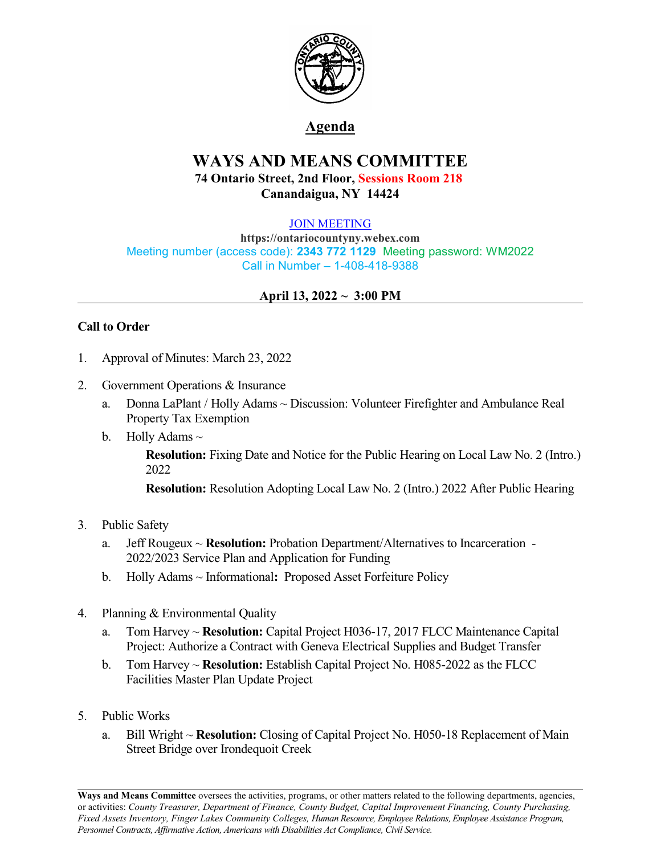

## **Agenda**

# **WAYS AND MEANS COMMITTEE 74 Ontario Street, 2nd Floor, Sessions Room 218 Canandaigua, NY 14424**

#### [JOIN MEETING](https://ontariocountyny.webex.com/)

**https://ontariocountyny.webex.com** Meeting number (access code): **2343 772 1129** Meeting password: WM2022 Call in Number – 1-408-418-9388

#### **April 13, 2022 ~ 3:00 PM**

### **Call to Order**

- 1. Approval of Minutes: March 23, 2022
- 2. Government Operations & Insurance
	- a. Donna LaPlant / Holly Adams ~ Discussion: Volunteer Firefighter and Ambulance Real Property Tax Exemption
	- b. Holly Adams  $\sim$

**Resolution:** Fixing Date and Notice for the Public Hearing on Local Law No. 2 (Intro.) 2022

**Resolution:** Resolution Adopting Local Law No. 2 (Intro.) 2022 After Public Hearing

#### 3. Public Safety

- a. Jeff Rougeux ~ **Resolution:** Probation Department/Alternatives to Incarceration 2022/2023 Service Plan and Application for Funding
- b. Holly Adams ~ Informational**:** Proposed Asset Forfeiture Policy
- 4. Planning & Environmental Quality
	- a. Tom Harvey ~ **Resolution:** Capital Project H036-17, 2017 FLCC Maintenance Capital Project: Authorize a Contract with Geneva Electrical Supplies and Budget Transfer
	- b. Tom Harvey ~ **Resolution:** Establish Capital Project No. H085-2022 as the FLCC Facilities Master Plan Update Project
- 5. Public Works
	- a. Bill Wright ~ **Resolution:** Closing of Capital Project No. H050-18 Replacement of Main Street Bridge over Irondequoit Creek

**Ways and Means Committee** oversees the activities, programs, or other matters related to the following departments, agencies, or activities: *County Treasurer, Department of Finance, County Budget, Capital Improvement Financing, County Purchasing, Fixed Assets Inventory, Finger Lakes Community Colleges, Human Resource, Employee Relations, Employee Assistance Program, Personnel Contracts, Af irmative Action, Americans with Disabilities Act Compliance, Civil Service.*